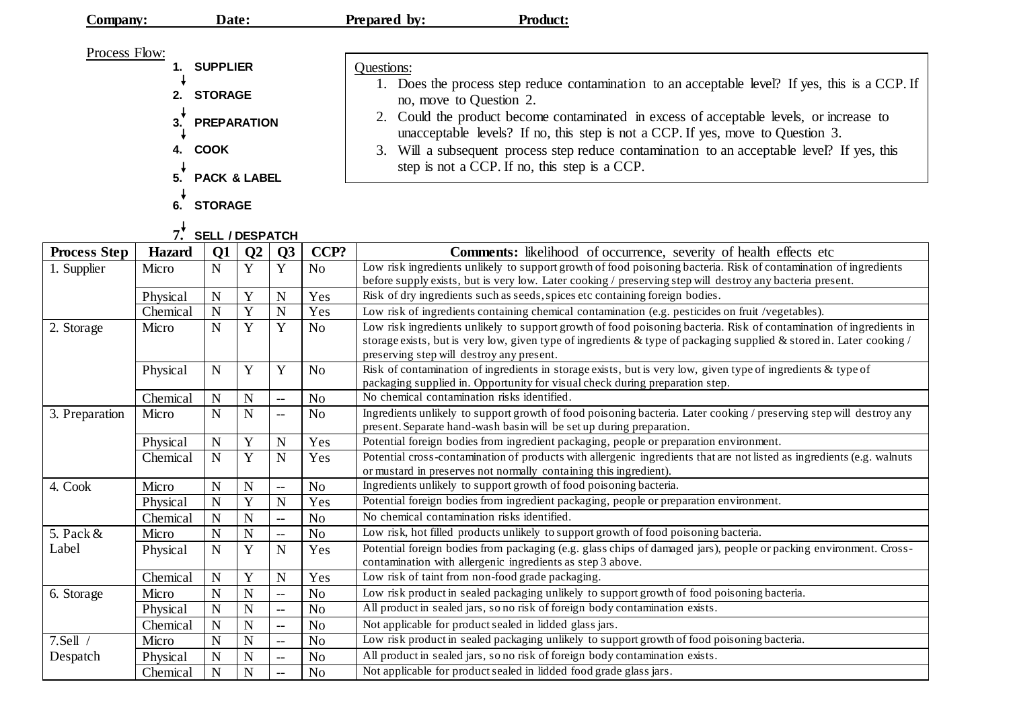|                                                    | Date:<br>Company: |                |                |                          |                | <b>Prepared by:</b><br><b>Product:</b>                                                                                                                                                                                                                                                                                                                                                                                                                   |  |  |  |  |
|----------------------------------------------------|-------------------|----------------|----------------|--------------------------|----------------|----------------------------------------------------------------------------------------------------------------------------------------------------------------------------------------------------------------------------------------------------------------------------------------------------------------------------------------------------------------------------------------------------------------------------------------------------------|--|--|--|--|
| Process Flow:<br><b>SUPPLIER</b>                   |                   |                |                |                          |                | Questions:                                                                                                                                                                                                                                                                                                                                                                                                                                               |  |  |  |  |
| <b>STORAGE</b><br>2.                               |                   |                |                |                          |                | 1. Does the process step reduce contamination to an acceptable level? If yes, this is a CCP. If<br>no, move to Question 2.<br>Could the product become contaminated in excess of acceptable levels, or increase to<br>unacceptable levels? If no, this step is not a CCP. If yes, move to Question 3.<br>Will a subsequent process step reduce contamination to an acceptable level? If yes, this<br>3.<br>step is not a CCP. If no, this step is a CCP. |  |  |  |  |
| 3.<br><b>PREPARATION</b>                           |                   |                |                |                          |                |                                                                                                                                                                                                                                                                                                                                                                                                                                                          |  |  |  |  |
| <b>COOK</b><br>4.<br>5.<br><b>PACK &amp; LABEL</b> |                   |                |                |                          |                |                                                                                                                                                                                                                                                                                                                                                                                                                                                          |  |  |  |  |
|                                                    | 6.                | <b>STORAGE</b> |                |                          |                |                                                                                                                                                                                                                                                                                                                                                                                                                                                          |  |  |  |  |
| $7.$ <sup>*</sup><br><b>SELL / DESPATCH</b>        |                   |                |                |                          |                |                                                                                                                                                                                                                                                                                                                                                                                                                                                          |  |  |  |  |
| <b>Process Step</b>                                | Hazard            | Q1             | Q <sub>2</sub> | Q3                       | CCP?           | <b>Comments:</b> likelihood of occurrence, severity of health effects etc                                                                                                                                                                                                                                                                                                                                                                                |  |  |  |  |
| 1. Supplier                                        | Micro             | N              | Y              | Y                        | N <sub>o</sub> | Low risk ingredients unlikely to support growth of food poisoning bacteria. Risk of contamination of ingredients<br>before supply exists, but is very low. Later cooking / preserving step will destroy any bacteria present.                                                                                                                                                                                                                            |  |  |  |  |
|                                                    | Physical          | $\mathbf N$    | Y              | N                        | Yes            | Risk of dry ingredients such as seeds, spices etc containing foreign bodies.                                                                                                                                                                                                                                                                                                                                                                             |  |  |  |  |
|                                                    | Chemical          | $\mathbf N$    | Y              | N                        | Yes            | Low risk of ingredients containing chemical contamination (e.g. pesticides on fruit /vegetables).                                                                                                                                                                                                                                                                                                                                                        |  |  |  |  |
| 2. Storage                                         | Micro             | N              | Y              | Y                        | N <sub>o</sub> | Low risk ingredients unlikely to support growth of food poisoning bacteria. Risk of contamination of ingredients in<br>storage exists, but is very low, given type of ingredients & type of packaging supplied & stored in. Later cooking /<br>preserving step will destroy any present.                                                                                                                                                                 |  |  |  |  |
|                                                    | Physical          | $\mathbf N$    | Y              | Y                        | N <sub>o</sub> | Risk of contamination of ingredients in storage exists, but is very low, given type of ingredients & type of<br>packaging supplied in. Opportunity for visual check during preparation step.                                                                                                                                                                                                                                                             |  |  |  |  |
|                                                    | Chemical          | ${\bf N}$      | N              | $\overline{\phantom{m}}$ | N <sub>o</sub> | No chemical contamination risks identified.                                                                                                                                                                                                                                                                                                                                                                                                              |  |  |  |  |
| $\sim$ $\sim$                                      | $\mathbf{v}$      | <b>AT</b>      | <b>AT</b>      |                          | <b>NT</b>      | $\mathbf{a}$ contracts the state of $\mathbf{a}$<br>$\mathbf{1}$ $\mathbf{1}$ $\mathbf{1}$<br>$211 - 1$<br>$\sim$ 19 $\sim$ 1                                                                                                                                                                                                                                                                                                                            |  |  |  |  |

|                       | packaging supplied in. Opportunity for visual check during preparation step. |   |                                                                                                                     |                          |                |                                                                                                                        |  |
|-----------------------|------------------------------------------------------------------------------|---|---------------------------------------------------------------------------------------------------------------------|--------------------------|----------------|------------------------------------------------------------------------------------------------------------------------|--|
|                       | Chemical                                                                     | N | $\mathbf N$                                                                                                         | $\overline{\phantom{m}}$ | N <sub>0</sub> | No chemical contamination risks identified.                                                                            |  |
| 3. Preparation        | N<br>N<br>Micro<br>N <sub>0</sub><br>$\overline{\phantom{a}}$                |   | Ingredients unlikely to support growth of food poisoning bacteria. Later cooking / preserving step will destroy any |                          |                |                                                                                                                        |  |
|                       |                                                                              |   |                                                                                                                     |                          |                | present. Separate hand-wash basin will be set up during preparation.                                                   |  |
|                       | Physical                                                                     | N | Y                                                                                                                   | N                        | Yes            | Potential foreign bodies from ingredient packaging, people or preparation environment.                                 |  |
|                       | Chemical                                                                     | N | Y                                                                                                                   | N                        | Yes            | Potential cross-contamination of products with allergenic ingredients that are not listed as ingredients (e.g. walnuts |  |
|                       |                                                                              |   |                                                                                                                     |                          |                | or mustard in preserves not normally containing this ingredient).                                                      |  |
| 4. Cook               | Micro                                                                        | N | N                                                                                                                   | --                       | No             | Ingredients unlikely to support growth of food poisoning bacteria.                                                     |  |
|                       | Physical                                                                     | N | Y                                                                                                                   | N                        | Yes            | Potential foreign bodies from ingredient packaging, people or preparation environment.                                 |  |
|                       | Chemical                                                                     | N | N                                                                                                                   | --                       | No             | No chemical contamination risks identified.                                                                            |  |
| 5. Pack $\&$<br>Label | Micro                                                                        | N | N                                                                                                                   | $\qquad \qquad -$        | No             | Low risk, hot filled products unlikely to support growth of food poisoning bacteria.                                   |  |
|                       | Physical                                                                     | N | Y                                                                                                                   | N                        | Yes            | Potential foreign bodies from packaging (e.g. glass chips of damaged jars), people or packing environment. Cross-      |  |
|                       |                                                                              |   |                                                                                                                     |                          |                | contamination with allergenic ingredients as step 3 above.                                                             |  |
|                       | Chemical                                                                     | N | Y                                                                                                                   | N                        | Yes            | Low risk of taint from non-food grade packaging.                                                                       |  |
| 6. Storage            | Micro                                                                        | N | N                                                                                                                   | $- -$                    | No             | Low risk product in sealed packaging unlikely to support growth of food poisoning bacteria.                            |  |
|                       | Physical                                                                     | N | N                                                                                                                   | --                       | No             | All product in sealed jars, so no risk of foreign body contamination exists.                                           |  |
|                       | Chemical                                                                     | N | N                                                                                                                   | $- -$                    | N <sub>0</sub> | Not applicable for product sealed in lidded glass jars.                                                                |  |
| 7.Sell                | Micro                                                                        | N | N                                                                                                                   | $- -$                    | N <sub>0</sub> | Low risk product in sealed packaging unlikely to support growth of food poisoning bacteria.                            |  |
| Despatch              | Physical                                                                     | N | N                                                                                                                   | --                       | No             | All product in sealed jars, so no risk of foreign body contamination exists.                                           |  |
|                       | Chemical                                                                     | N | N                                                                                                                   | $\qquad \qquad -$        | No             | Not applicable for product sealed in lidded food grade glass jars.                                                     |  |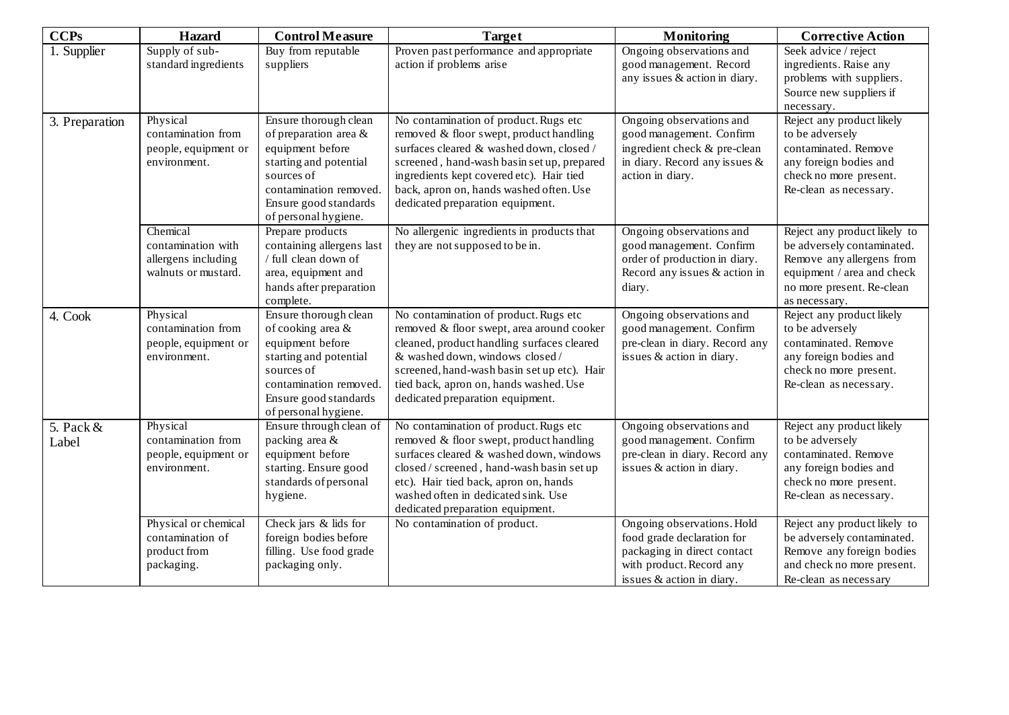| <b>CCPs</b>          | <b>Hazard</b>                                                                | <b>Control Measure</b>                                                                                                                                                                   | <b>Target</b>                                                                                                                                                                                                                                                                                         | <b>Monitoring</b>                                                                                                                                | <b>Corrective Action</b>                                                                                                                                            |
|----------------------|------------------------------------------------------------------------------|------------------------------------------------------------------------------------------------------------------------------------------------------------------------------------------|-------------------------------------------------------------------------------------------------------------------------------------------------------------------------------------------------------------------------------------------------------------------------------------------------------|--------------------------------------------------------------------------------------------------------------------------------------------------|---------------------------------------------------------------------------------------------------------------------------------------------------------------------|
| 1. Supplier          | Supply of sub-<br>standard ingredients                                       | Buy from reputable<br>suppliers                                                                                                                                                          | Proven past performance and appropriate<br>action if problems arise                                                                                                                                                                                                                                   | Ongoing observations and<br>good management. Record<br>any issues & action in diary.                                                             | Seek advice / reject<br>ingredients. Raise any<br>problems with suppliers.<br>Source new suppliers if<br>necessary.                                                 |
| 3. Preparation       | Physical<br>contamination from<br>people, equipment or<br>environment.       | Ensure thorough clean<br>of preparation area $\&$<br>equipment before<br>starting and potential<br>sources of<br>contamination removed.<br>Ensure good standards<br>of personal hygiene. | No contamination of product. Rugs etc<br>removed & floor swept, product handling<br>surfaces cleared & washed down, closed /<br>screened, hand-wash basin set up, prepared<br>ingredients kept covered etc). Hair tied<br>back, apron on, hands washed often. Use<br>dedicated preparation equipment. | Ongoing observations and<br>good management. Confirm<br>ingredient check & pre-clean<br>in diary. Record any issues &<br>action in diary.        | Reject any product likely<br>to be adversely<br>contaminated. Remove<br>any foreign bodies and<br>check no more present.<br>Re-clean as necessary.                  |
|                      | Chemical<br>contamination with<br>allergens including<br>walnuts or mustard. | Prepare products<br>containing allergens last<br>/ full clean down of<br>area, equipment and<br>hands after preparation<br>complete.                                                     | No allergenic ingredients in products that<br>they are not supposed to be in.                                                                                                                                                                                                                         | Ongoing observations and<br>good management. Confirm<br>order of production in diary.<br>Record any issues & action in<br>diary.                 | Reject any product likely to<br>be adversely contaminated.<br>Remove any allergens from<br>equipment / area and check<br>no more present. Re-clean<br>as necessary. |
| 4. Cook              | Physical<br>contamination from<br>people, equipment or<br>environment.       | Ensure thorough clean<br>of cooking area &<br>equipment before<br>starting and potential<br>sources of<br>contamination removed.<br>Ensure good standards<br>of personal hygiene.        | No contamination of product. Rugs etc<br>removed & floor swept, area around cooker<br>cleaned, product handling surfaces cleared<br>& washed down, windows closed/<br>screened, hand-wash basin set up etc). Hair<br>tied back, apron on, hands washed. Use<br>dedicated preparation equipment.       | Ongoing observations and<br>good management. Confirm<br>pre-clean in diary. Record any<br>issues & action in diary.                              | Reject any product likely<br>to be adversely<br>contaminated. Remove<br>any foreign bodies and<br>check no more present.<br>Re-clean as necessary.                  |
| 5. Pack $&$<br>Label | Physical<br>contamination from<br>people, equipment or<br>environment.       | Ensure through clean of<br>packing area &<br>equipment before<br>starting. Ensure good<br>standards of personal<br>hygiene.                                                              | No contamination of product. Rugs etc<br>removed & floor swept, product handling<br>surfaces cleared & washed down, windows<br>closed / screened, hand-wash basin set up<br>etc). Hair tied back, apron on, hands<br>washed often in dedicated sink. Use<br>dedicated preparation equipment.          | Ongoing observations and<br>good management. Confirm<br>pre-clean in diary. Record any<br>issues & action in diary.                              | Reject any product likely<br>to be adversely<br>contaminated. Remove<br>any foreign bodies and<br>check no more present.<br>Re-clean as necessary.                  |
|                      | Physical or chemical<br>contamination of<br>product from<br>packaging.       | Check jars & lids for<br>foreign bodies before<br>filling. Use food grade<br>packaging only.                                                                                             | No contamination of product.                                                                                                                                                                                                                                                                          | Ongoing observations. Hold<br>food grade declaration for<br>packaging in direct contact<br>with product. Record any<br>issues & action in diary. | Reject any product likely to<br>be adversely contaminated.<br>Remove any foreign bodies<br>and check no more present.<br>Re-clean as necessary                      |